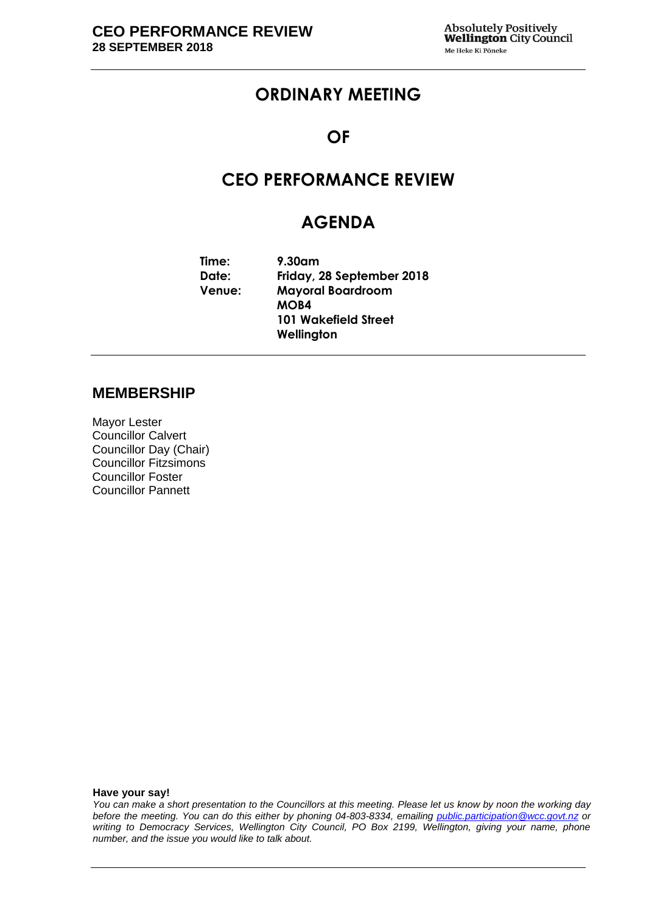# **ORDINARY MEETING**

### **OF**

# **CEO PERFORMANCE REVIEW**

# **AGENDA**

**Time: 9.30am Date: Friday, 28 September 2018 Venue: Mayoral Boardroom MOB4 101 Wakefield Street Wellington**

#### **MEMBERSHIP**

Mayor Lester Councillor Calvert Councillor Day (Chair) Councillor Fitzsimons Councillor Foster Councillor Pannett

**Have your say!**

*You can make a short presentation to the Councillors at this meeting. Please let us know by noon the working day before the meeting. You can do this either by phoning 04-803-8334, emailing public.participation@wcc.govt.nz or writing to Democracy Services, Wellington City Council, PO Box 2199, Wellington, giving your name, phone number, and the issue you would like to talk about.*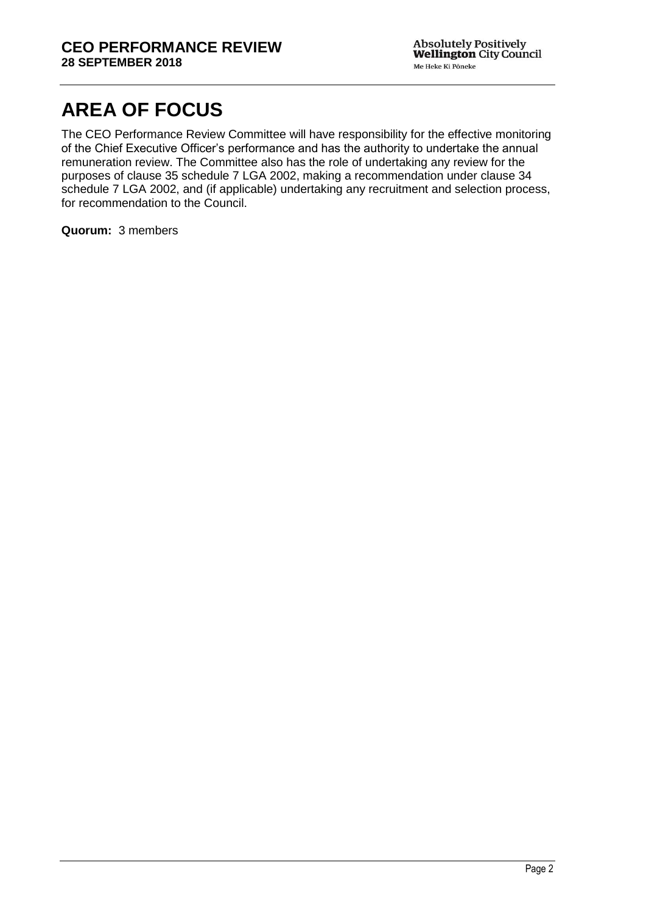# **AREA OF FOCUS**

The CEO Performance Review Committee will have responsibility for the effective monitoring of the Chief Executive Officer's performance and has the authority to undertake the annual remuneration review. The Committee also has the role of undertaking any review for the purposes of clause 35 schedule 7 LGA 2002, making a recommendation under clause 34 schedule 7 LGA 2002, and (if applicable) undertaking any recruitment and selection process, for recommendation to the Council.

**Quorum:** 3 members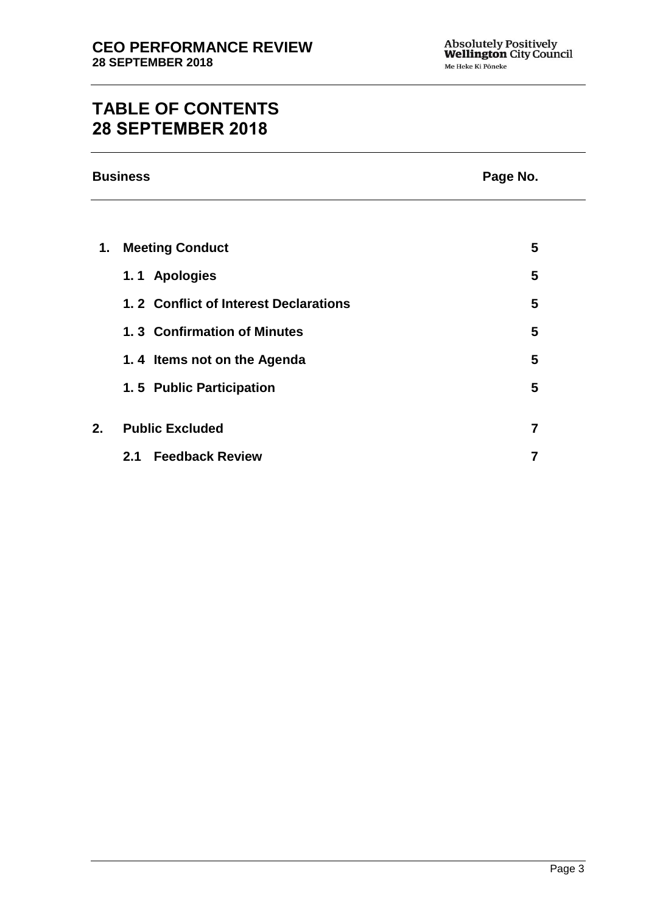# **TABLE OF CONTENTS 28 SEPTEMBER 2018**

| <b>Business</b> |                                       | Page No.       |
|-----------------|---------------------------------------|----------------|
|                 |                                       |                |
| 1.              | <b>Meeting Conduct</b>                | 5              |
|                 | 1.1 Apologies                         | 5              |
|                 | 1.2 Conflict of Interest Declarations | 5              |
|                 | 1.3 Confirmation of Minutes           | 5              |
|                 | 1.4 Items not on the Agenda           | 5              |
|                 | 1.5 Public Participation              | 5              |
| 2.              | <b>Public Excluded</b>                | $\overline{7}$ |
|                 | <b>Feedback Review</b><br>2.1         | $\overline{7}$ |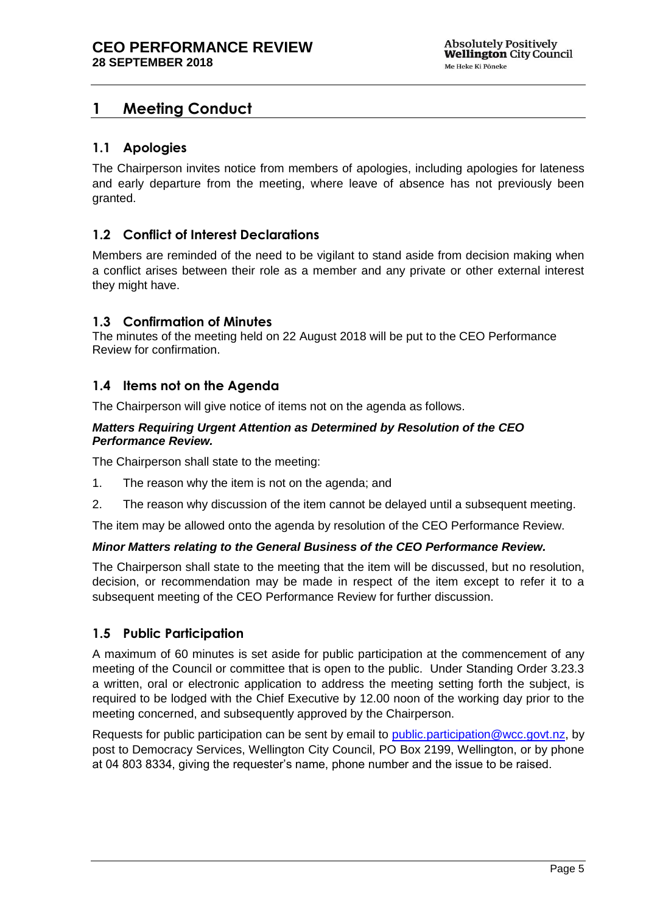# <span id="page-4-0"></span>**1 Meeting Conduct**

#### <span id="page-4-1"></span>**1.1 Apologies**

The Chairperson invites notice from members of apologies, including apologies for lateness and early departure from the meeting, where leave of absence has not previously been granted.

#### <span id="page-4-2"></span>**1.2 Conflict of Interest Declarations**

Members are reminded of the need to be vigilant to stand aside from decision making when a conflict arises between their role as a member and any private or other external interest they might have.

#### <span id="page-4-3"></span>**1.3 Confirmation of Minutes**

The minutes of the meeting held on 22 August 2018 will be put to the CEO Performance Review for confirmation.

#### <span id="page-4-4"></span>**1.4 Items not on the Agenda**

The Chairperson will give notice of items not on the agenda as follows.

#### *Matters Requiring Urgent Attention as Determined by Resolution of the CEO Performance Review.*

The Chairperson shall state to the meeting:

- 1. The reason why the item is not on the agenda; and
- 2. The reason why discussion of the item cannot be delayed until a subsequent meeting.

The item may be allowed onto the agenda by resolution of the CEO Performance Review.

#### *Minor Matters relating to the General Business of the CEO Performance Review.*

The Chairperson shall state to the meeting that the item will be discussed, but no resolution, decision, or recommendation may be made in respect of the item except to refer it to a subsequent meeting of the CEO Performance Review for further discussion.

#### <span id="page-4-5"></span>**1.5 Public Participation**

A maximum of 60 minutes is set aside for public participation at the commencement of any meeting of the Council or committee that is open to the public. Under Standing Order 3.23.3 a written, oral or electronic application to address the meeting setting forth the subject, is required to be lodged with the Chief Executive by 12.00 noon of the working day prior to the meeting concerned, and subsequently approved by the Chairperson.

Requests for public participation can be sent by email to [public.participation@wcc.govt.nz,](mailto:public.participation@wcc.govt.nz) by post to Democracy Services, Wellington City Council, PO Box 2199, Wellington, or by phone at 04 803 8334, giving the requester's name, phone number and the issue to be raised.